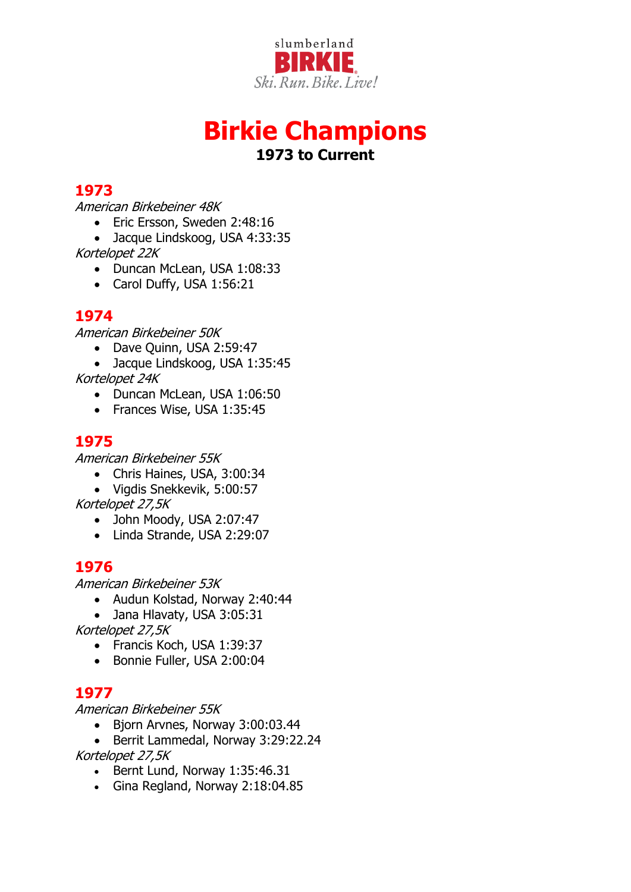

# **Birkie Champions 1973 to Current**

# **1973**

American Birkebeiner 48K

- Eric Ersson, Sweden 2:48:16
- Jacque Lindskoog, USA 4:33:35

Kortelopet 22K

- Duncan McLean, USA 1:08:33
- Carol Duffy, USA 1:56:21

# **1974**

American Birkebeiner 50K

- Dave Quinn, USA 2:59:47
- Jacque Lindskoog, USA 1:35:45

Kortelopet 24K

- Duncan McLean, USA 1:06:50
- Frances Wise, USA 1:35:45

# **1975**

American Birkebeiner 55K

- Chris Haines, USA, 3:00:34
- Vigdis Snekkevik, 5:00:57

Kortelopet 27,5K

- John Moody, USA 2:07:47
- Linda Strande, USA 2:29:07

# **1976**

American Birkebeiner 53K

- Audun Kolstad, Norway 2:40:44
- Jana Hlavaty, USA 3:05:31

Kortelopet 27,5K

- Francis Koch, USA 1:39:37
- Bonnie Fuller, USA 2:00:04

# **1977**

American Birkebeiner 55K

- Bjorn Arvnes, Norway 3:00:03.44
- Berrit Lammedal, Norway 3:29:22.24 Kortelopet 27,5K
	- Bernt Lund, Norway 1:35:46.31
	- Gina Regland, Norway 2:18:04.85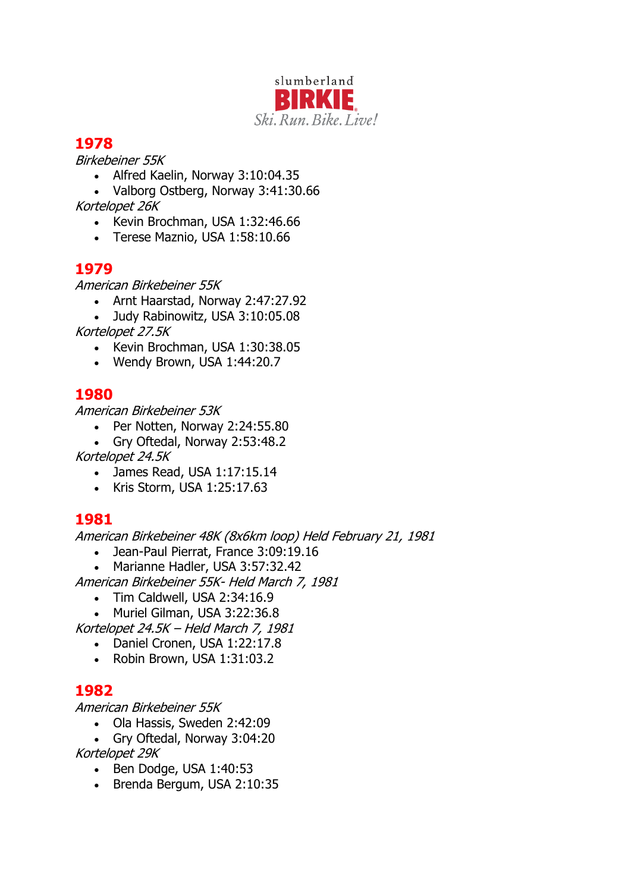

Birkebeiner 55K

• Alfred Kaelin, Norway 3:10:04.35

• Valborg Ostberg, Norway 3:41:30.66 Kortelopet 26K

- Kevin Brochman, USA 1:32:46.66
- Terese Maznio, USA 1:58:10.66

# **1979**

American Birkebeiner 55K

• Arnt Haarstad, Norway 2:47:27.92

• Judy Rabinowitz, USA 3:10:05.08

Kortelopet 27.5K

- Kevin Brochman, USA 1:30:38.05
- Wendy Brown, USA 1:44:20.7

# **1980**

American Birkebeiner 53K

- Per Notten, Norway 2:24:55.80
- Gry Oftedal, Norway 2:53:48.2

Kortelopet 24.5K

- James Read, USA 1:17:15.14
- Kris Storm, USA 1:25:17.63

### **1981**

American Birkebeiner 48K (8x6km loop) Held February 21, 1981

- Jean-Paul Pierrat, France 3:09:19.16
- Marianne Hadler, USA 3:57:32.42

American Birkebeiner 55K- Held March 7, 1981

- Tim Caldwell, USA 2:34:16.9
- Muriel Gilman, USA 3:22:36.8

Kortelopet 24.5K – Held March 7, 1981

- Daniel Cronen, USA 1:22:17.8
- Robin Brown, USA 1:31:03.2

# **1982**

American Birkebeiner 55K

- Ola Hassis, Sweden 2:42:09
- Gry Oftedal, Norway 3:04:20

Kortelopet 29K

- Ben Dodge, USA 1:40:53
- Brenda Bergum, USA 2:10:35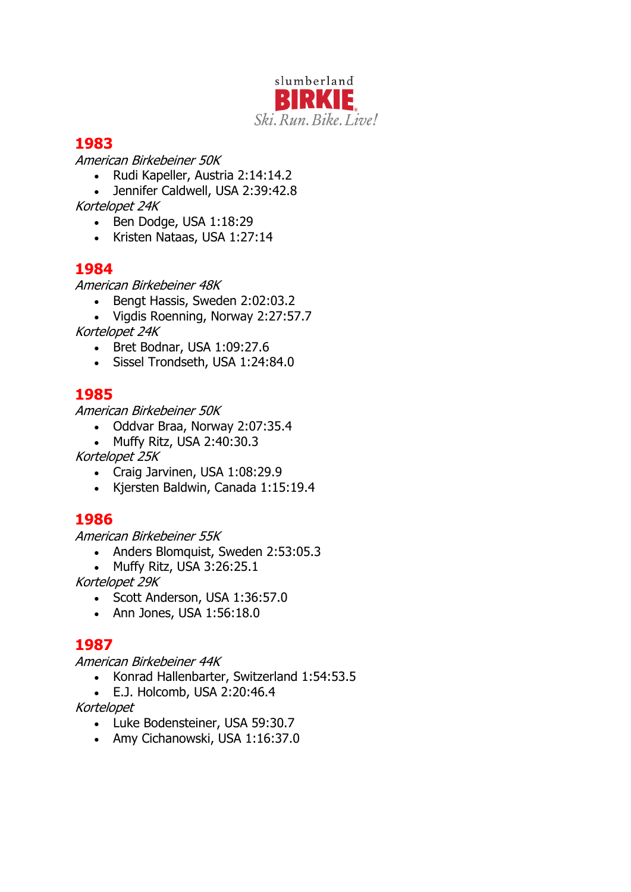

American Birkebeiner 50K

- Rudi Kapeller, Austria 2:14:14.2
- Jennifer Caldwell, USA 2:39:42.8 Kortelopet 24K
	- Ben Dodge, USA 1:18:29
	- Kristen Nataas, USA 1:27:14

# **1984**

American Birkebeiner 48K

- Bengt Hassis, Sweden 2:02:03.2
- Vigdis Roenning, Norway 2:27:57.7
- Kortelopet 24K
	- Bret Bodnar, USA 1:09:27.6
	- Sissel Trondseth, USA 1:24:84.0

# **1985**

American Birkebeiner 50K

- Oddvar Braa, Norway 2:07:35.4
- Muffy Ritz, USA 2:40:30.3
- Kortelopet 25K
	- Craig Jarvinen, USA 1:08:29.9
	- Kjersten Baldwin, Canada 1:15:19.4

### **1986**

American Birkebeiner 55K

- Anders Blomquist, Sweden 2:53:05.3
- Muffy Ritz, USA 3:26:25.1

Kortelopet 29K

- Scott Anderson, USA 1:36:57.0
- Ann Jones, USA 1:56:18.0

### **1987**

American Birkebeiner 44K

- Konrad Hallenbarter, Switzerland 1:54:53.5
- E.J. Holcomb, USA 2:20:46.4

Kortelopet

- Luke Bodensteiner, USA 59:30.7
- Amy Cichanowski, USA 1:16:37.0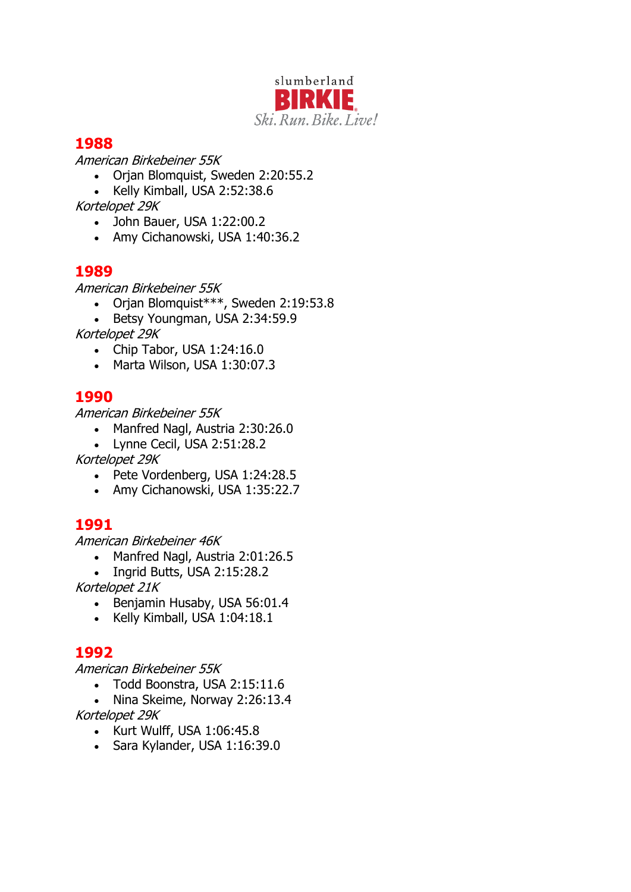

American Birkebeiner 55K

- Orjan Blomquist, Sweden 2:20:55.2
- Kelly Kimball, USA 2:52:38.6

Kortelopet 29K

- John Bauer, USA 1:22:00.2
- Amy Cichanowski, USA 1:40:36.2

# **1989**

American Birkebeiner 55K

- Orjan Blomquist\*\*\*, Sweden 2:19:53.8
- Betsy Youngman, USA 2:34:59.9

Kortelopet 29K

- Chip Tabor, USA 1:24:16.0
- Marta Wilson, USA 1:30:07.3

# **1990**

American Birkebeiner 55K

- Manfred Nagl, Austria 2:30:26.0
- Lynne Cecil, USA 2:51:28.2

Kortelopet 29K

- Pete Vordenberg, USA 1:24:28.5
- Amy Cichanowski, USA 1:35:22.7

# **1991**

American Birkebeiner 46K

- Manfred Nagl, Austria 2:01:26.5
- Ingrid Butts, USA 2:15:28.2

Kortelopet 21K

- Benjamin Husaby, USA 56:01.4
- Kelly Kimball, USA 1:04:18.1

# **1992**

American Birkebeiner 55K

- Todd Boonstra, USA 2:15:11.6
- Nina Skeime, Norway 2:26:13.4

Kortelopet 29K

- Kurt Wulff, USA 1:06:45.8
- Sara Kylander, USA 1:16:39.0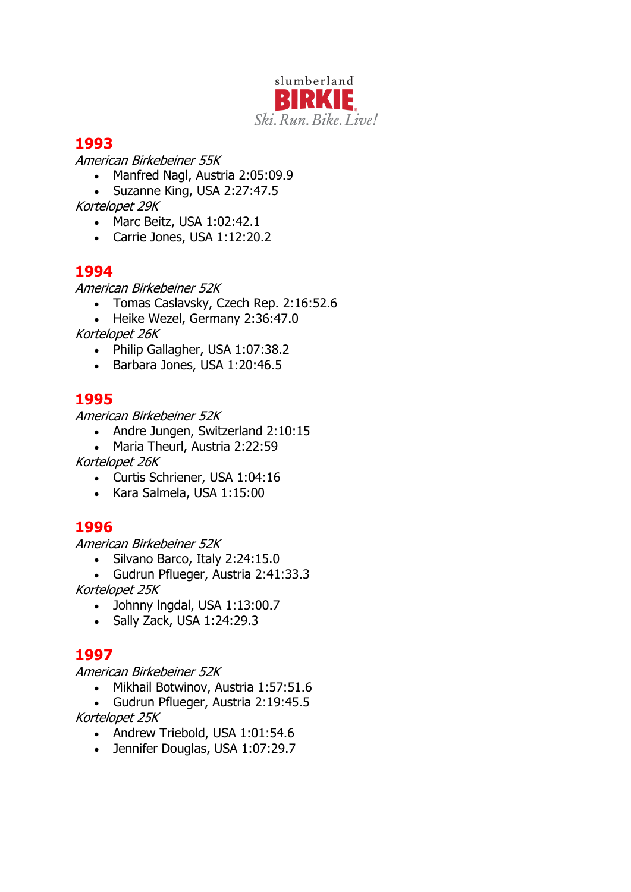

American Birkebeiner 55K

- Manfred Nagl, Austria 2:05:09.9
- Suzanne King, USA 2:27:47.5

Kortelopet 29K

- Marc Beitz, USA 1:02:42.1
- Carrie Jones, USA 1:12:20.2

# **1994**

American Birkebeiner 52K

- Tomas Caslavsky, Czech Rep. 2:16:52.6
- Heike Wezel, Germany 2:36:47.0

Kortelopet 26K

- Philip Gallagher, USA 1:07:38.2
- Barbara Jones, USA 1:20:46.5

# **1995**

American Birkebeiner 52K

- Andre Jungen, Switzerland 2:10:15
- Maria Theurl, Austria 2:22:59

Kortelopet 26K

- Curtis Schriener, USA 1:04:16
- Kara Salmela, USA 1:15:00

### **1996**

American Birkebeiner 52K

• Silvano Barco, Italy 2:24:15.0

• Gudrun Pflueger, Austria 2:41:33.3 Kortelopet 25K

- Johnny lngdal, USA 1:13:00.7
- Sally Zack, USA 1:24:29.3

# **1997**

American Birkebeiner 52K

• Mikhail Botwinov, Austria 1:57:51.6

• Gudrun Pflueger, Austria 2:19:45.5 Kortelopet 25K

- Andrew Triebold, USA 1:01:54.6
- Jennifer Douglas, USA 1:07:29.7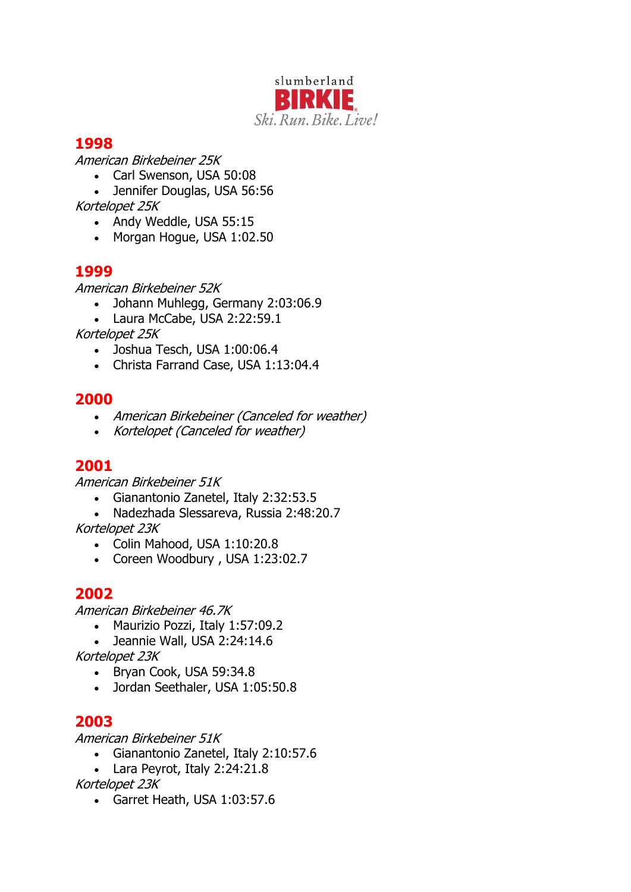

American Birkebeiner 25K

- Carl Swenson, USA 50:08
- Jennifer Douglas, USA 56:56
- Kortelopet 25K
	- Andy Weddle, USA 55:15
	- Morgan Hogue, USA 1:02.50

# **1999**

American Birkebeiner 52K

- Johann Muhlegg, Germany 2:03:06.9
- Laura McCabe, USA 2:22:59.1

Kortelopet 25K

- Joshua Tesch, USA 1:00:06.4
- Christa Farrand Case, USA 1:13:04.4

# **2000**

- American Birkebeiner (Canceled for weather)
- Kortelopet (Canceled for weather)

# **2001**

American Birkebeiner 51K

- Gianantonio Zanetel, Italy 2:32:53.5
- Nadezhada Slessareva, Russia 2:48:20.7

Kortelopet 23K

- Colin Mahood, USA 1:10:20.8
- Coreen Woodbury , USA 1:23:02.7

# **2002**

American Birkebeiner 46.7K

- Maurizio Pozzi, Italy 1:57:09.2
- Jeannie Wall, USA 2:24:14.6

Kortelopet 23K

- Bryan Cook, USA 59:34.8
- Jordan Seethaler, USA 1:05:50.8

# **2003**

American Birkebeiner 51K

- Gianantonio Zanetel, Italy 2:10:57.6
- Lara Peyrot, Italy 2:24:21.8

Kortelopet 23K

• Garret Heath, USA 1:03:57.6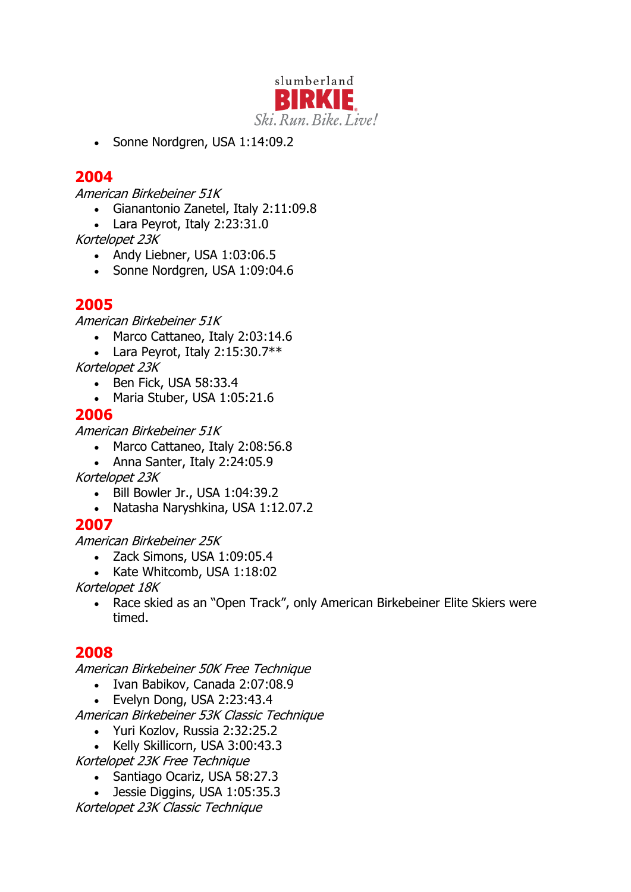

• Sonne Nordgren, USA 1:14:09.2

### **2004**

American Birkebeiner 51K

- Gianantonio Zanetel, Italy 2:11:09.8
- Lara Peyrot, Italy 2:23:31.0

Kortelopet 23K

- Andy Liebner, USA 1:03:06.5
- Sonne Nordgren, USA 1:09:04.6

# **2005**

American Birkebeiner 51K

- Marco Cattaneo, Italy 2:03:14.6
- Lara Peyrot, Italy  $2:15:30.7**$

Kortelopet 23K

- Ben Fick, USA 58:33.4
- Maria Stuber, USA 1:05:21.6

#### **2006**

American Birkebeiner 51K

- Marco Cattaneo, Italy 2:08:56.8
- Anna Santer, Italy 2:24:05.9

Kortelopet 23K

- Bill Bowler Jr., USA 1:04:39.2
- Natasha Naryshkina, USA 1:12.07.2

### **2007**

American Birkebeiner 25K

- Zack Simons, USA 1:09:05.4
- Kate Whitcomb, USA 1:18:02

Kortelopet 18K

• Race skied as an "Open Track", only American Birkebeiner Elite Skiers were timed.

### **2008**

American Birkebeiner 50K Free Technique

- Ivan Babikov, Canada 2:07:08.9
- Evelyn Dong, USA 2:23:43.4

American Birkebeiner 53K Classic Technique

- Yuri Kozlov, Russia 2:32:25.2
- Kelly Skillicorn, USA 3:00:43.3

Kortelopet 23K Free Technique

- Santiago Ocariz, USA 58:27.3
- Jessie Diggins, USA 1:05:35.3

Kortelopet 23K Classic Technique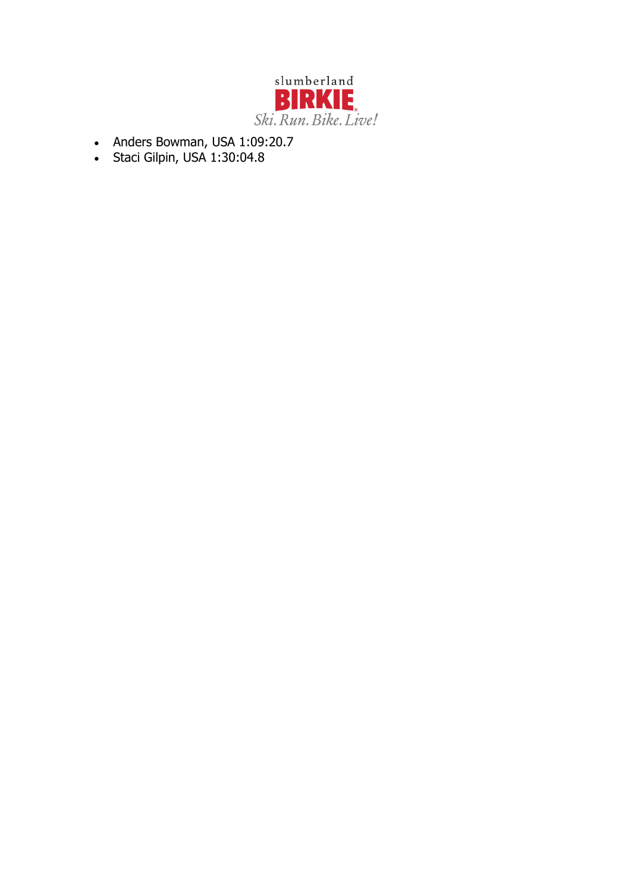

- Anders Bowman, USA 1:09:20.7
- Staci Gilpin, USA 1:30:04.8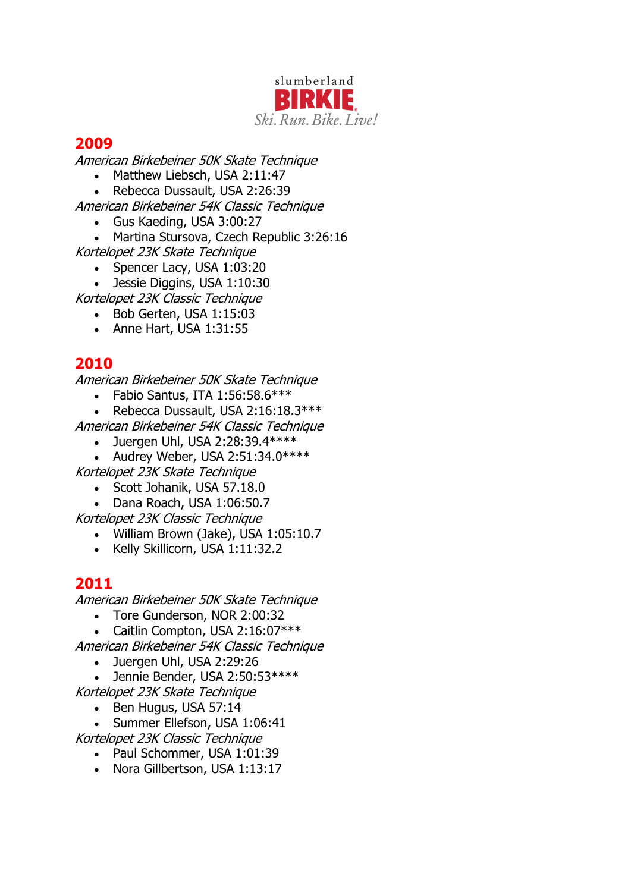

American Birkebeiner 50K Skate Technique

- Matthew Liebsch, USA 2:11:47
- Rebecca Dussault, USA 2:26:39

American Birkebeiner 54K Classic Technique

- Gus Kaeding, USA 3:00:27
- Martina Stursova, Czech Republic 3:26:16
- Kortelopet 23K Skate Technique
	- Spencer Lacy, USA 1:03:20
	- Jessie Diggins, USA 1:10:30

Kortelopet 23K Classic Technique

- Bob Gerten, USA 1:15:03
- Anne Hart, USA 1:31:55

# **2010**

American Birkebeiner 50K Skate Technique

- Fabio Santus, ITA  $1:56:58.6***$
- Rebecca Dussault, USA 2:16:18.3 \*\*\*

American Birkebeiner 54K Classic Technique

- Juergen Uhl, USA 2:28:39.4  $***$
- Audrey Weber, USA 2:51:34.0 \*\*\*\*

Kortelopet 23K Skate Technique

- Scott Johanik, USA 57.18.0
- Dana Roach, USA 1:06:50.7

Kortelopet 23K Classic Technique

- William Brown (Jake), USA 1:05:10.7
- Kelly Skillicorn, USA 1:11:32.2

### **2011**

American Birkebeiner 50K Skate Technique

- Tore Gunderson, NOR 2:00:32
- Caitlin Compton, USA 2:16:07\*\*\*

American Birkebeiner 54K Classic Technique

- Juergen Uhl, USA 2:29:26
- Jennie Bender, USA 2:50:53\*\*\*\*
- Kortelopet 23K Skate Technique
	- Ben Hugus, USA 57:14
	- Summer Ellefson, USA 1:06:41
- Kortelopet 23K Classic Technique
	- Paul Schommer, USA 1:01:39
	- Nora Gillbertson, USA 1:13:17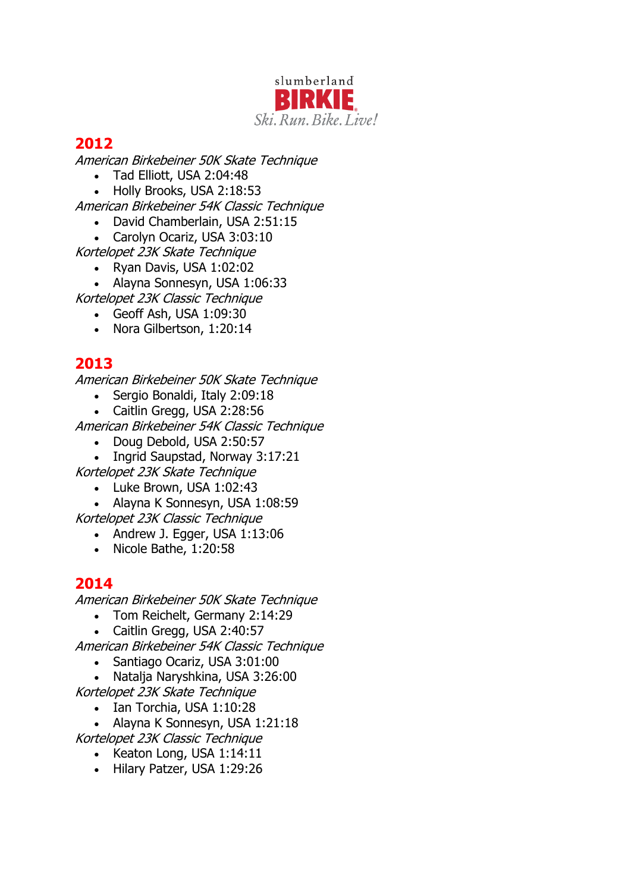

American Birkebeiner 50K Skate Technique

- Tad Elliott, USA 2:04:48
- Holly Brooks, USA 2:18:53

American Birkebeiner 54K Classic Technique

- David Chamberlain, USA 2:51:15
- Carolyn Ocariz, USA 3:03:10

Kortelopet 23K Skate Technique

- Ryan Davis, USA 1:02:02
- Alayna Sonnesyn, USA 1:06:33

Kortelopet 23K Classic Technique

- Geoff Ash, USA 1:09:30
- Nora Gilbertson, 1:20:14

# **2013**

American Birkebeiner 50K Skate Technique

- Sergio Bonaldi, Italy 2:09:18
- Caitlin Gregg, USA 2:28:56

American Birkebeiner 54K Classic Technique

- Doug Debold, USA 2:50:57
- Ingrid Saupstad, Norway 3:17:21

Kortelopet 23K Skate Technique

• Luke Brown, USA 1:02:43

• Alayna K Sonnesyn, USA 1:08:59

- Kortelopet 23K Classic Technique
	- Andrew J. Egger, USA 1:13:06
	- Nicole Bathe, 1:20:58

### **2014**

American Birkebeiner 50K Skate Technique

- Tom Reichelt, Germany 2:14:29
- Caitlin Gregg, USA 2:40:57

American Birkebeiner 54K Classic Technique

- Santiago Ocariz, USA 3:01:00
- Natalja Naryshkina, USA 3:26:00
- Kortelopet 23K Skate Technique
	- Ian Torchia, USA 1:10:28

• Alayna K Sonnesyn, USA 1:21:18

- Kortelopet 23K Classic Technique
	- Keaton Long, USA 1:14:11
	- Hilary Patzer, USA 1:29:26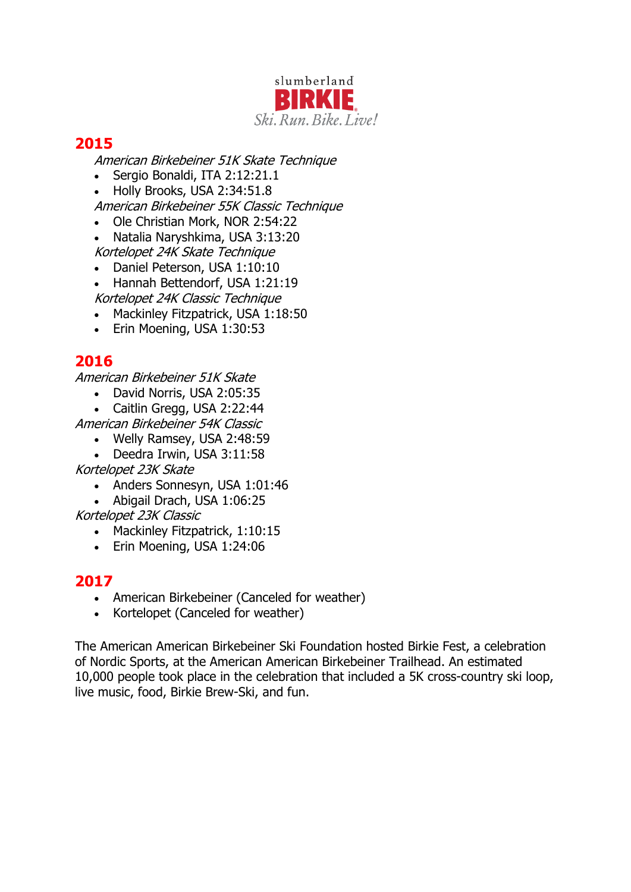

American Birkebeiner 51K Skate Technique

- Sergio Bonaldi, ITA 2:12:21.1
- Holly Brooks, USA 2:34:51.8
- American Birkebeiner 55K Classic Technique
- Ole Christian Mork, NOR 2:54:22
- Natalia Naryshkima, USA 3:13:20 Kortelopet 24K Skate Technique
- Daniel Peterson, USA 1:10:10
- Hannah Bettendorf, USA 1:21:19 Kortelopet 24K Classic Technique
- Mackinley Fitzpatrick, USA 1:18:50
- Erin Moening, USA 1:30:53

# **2016**

American Birkebeiner 51K Skate

- David Norris, USA 2:05:35
- Caitlin Gregg, USA 2:22:44
- American Birkebeiner 54K Classic
	- Welly Ramsey, USA 2:48:59
	- Deedra Irwin, USA 3:11:58

Kortelopet 23K Skate

- Anders Sonnesyn, USA 1:01:46
- Abigail Drach, USA 1:06:25
- Kortelopet 23K Classic
	- Mackinley Fitzpatrick, 1:10:15
	- Erin Moening, USA 1:24:06

# **2017**

- American Birkebeiner (Canceled for weather)
- Kortelopet (Canceled for weather)

The American American Birkebeiner Ski Foundation hosted Birkie Fest, a celebration of Nordic Sports, at the American American Birkebeiner Trailhead. An estimated 10,000 people took place in the celebration that included a 5K cross-country ski loop, live music, food, Birkie Brew-Ski, and fun.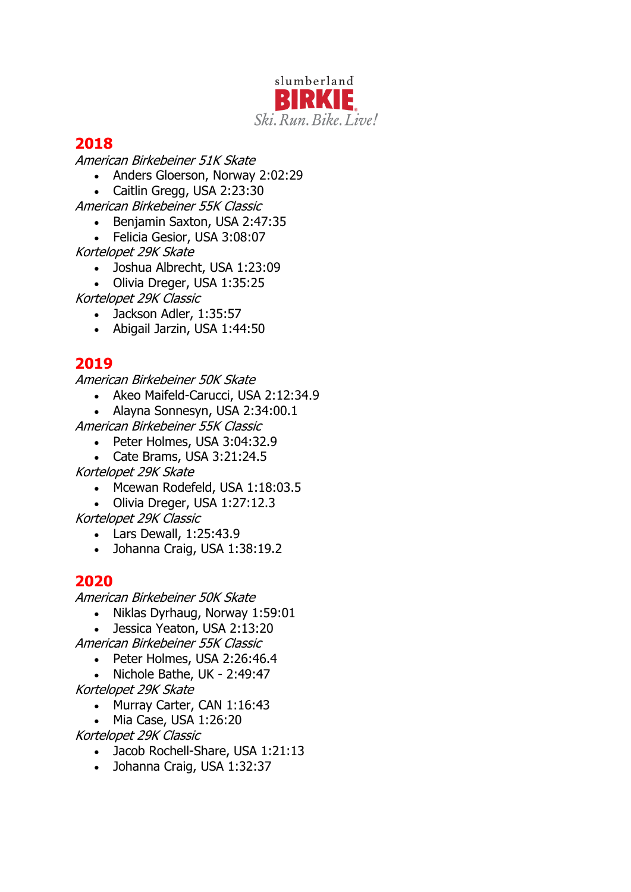

American Birkebeiner 51K Skate

- Anders Gloerson, Norway 2:02:29
- Caitlin Gregg, USA 2:23:30
- American Birkebeiner 55K Classic
	- Benjamin Saxton, USA 2:47:35
	- Felicia Gesior, USA 3:08:07
- Kortelopet 29K Skate
	- Joshua Albrecht, USA 1:23:09
	- Olivia Dreger, USA 1:35:25
- Kortelopet 29K Classic
	- Jackson Adler, 1:35:57
	- Abigail Jarzin, USA 1:44:50

# **2019**

American Birkebeiner 50K Skate

- Akeo Maifeld-Carucci, USA 2:12:34.9
- Alayna Sonnesyn, USA 2:34:00.1
- American Birkebeiner 55K Classic
	- Peter Holmes, USA 3:04:32.9
	- Cate Brams, USA 3:21:24.5
- Kortelopet 29K Skate
	- Mcewan Rodefeld, USA 1:18:03.5
	- Olivia Dreger, USA 1:27:12.3
- Kortelopet 29K Classic
	- Lars Dewall, 1:25:43.9
	- Johanna Craig, USA 1:38:19.2

### **2020**

American Birkebeiner 50K Skate

- Niklas Dyrhaug, Norway 1:59:01
- Jessica Yeaton, USA 2:13:20
- American Birkebeiner 55K Classic
	- Peter Holmes, USA 2:26:46.4
- Nichole Bathe, UK 2:49:47 Kortelopet 29K Skate
	- Murray Carter, CAN 1:16:43
	- Mia Case, USA 1:26:20

Kortelopet 29K Classic

- Jacob Rochell-Share, USA 1:21:13
- Johanna Craig, USA 1:32:37